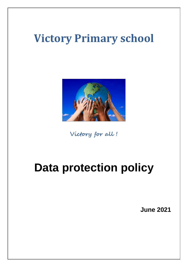# **Victory Primary school**



**Victory for all !**

# **Data protection policy**

**June 2021**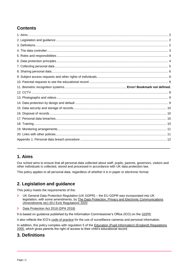# **Contents**

## <span id="page-1-0"></span>**1. Aims**

Our school aims to ensure that all personal data collected about staff, pupils, parents, governors, visitors and other individuals is collected, stored and processed in accordance with UK data protection law.

This policy applies to all personal data, regardless of whether it is in paper or electronic format.

# <span id="page-1-1"></span>**2. Legislation and guidance**

This policy meets the requirements of the:

- UK General Data Protection Regulation (UK GDPR) the EU GDPR was incorporated into UK  $\blacktriangleright$ legislation, with some amendments, by [The Data Protection, Privacy and Electronic Communications](https://www.legislation.gov.uk/uksi/2020/1586/made)  [\(Amendments etc\) \(EU Exit\) Regulations 2020](https://www.legislation.gov.uk/uksi/2020/1586/made)
- $\blacktriangleright$ [Data Protection Act 2018 \(DPA 2018\)](http://www.legislation.gov.uk/ukpga/2018/12/contents/enacted)

It is based on guidance published by the Information Commissioner's Office (ICO) on the [GDPR.](https://ico.org.uk/for-organisations/guide-to-the-general-data-protection-regulation-gdpr/)

It also reflects the ICO's [code of practice](https://ico.org.uk/media/for-organisations/documents/1542/cctv-code-of-practice.pdf) for the use of surveillance cameras and personal information.

In addition, this policy complies with regulation 5 of the Education (Pupil Information) (England) Regulations [2005,](http://www.legislation.gov.uk/uksi/2005/1437/regulation/5/made) which gives parents the right of access to their child's educational record.

## <span id="page-1-2"></span>**3. Definitions**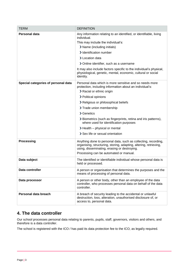| <b>TERM</b>                         | <b>DEFINITION</b>                                                                                                                                                                                                                                                                                                                                                                                                                                             |
|-------------------------------------|---------------------------------------------------------------------------------------------------------------------------------------------------------------------------------------------------------------------------------------------------------------------------------------------------------------------------------------------------------------------------------------------------------------------------------------------------------------|
| Personal data                       | Any information relating to an identified, or identifiable, living<br>individual.<br>This may include the individual's:<br>> Name (including initials)<br>> Identification number<br>> Location data<br>> Online identifier, such as a username<br>It may also include factors specific to the individual's physical,<br>physiological, genetic, mental, economic, cultural or social<br>identity.                                                            |
| Special categories of personal data | Personal data which is more sensitive and so needs more<br>protection, including information about an individual's:<br>> Racial or ethnic origin<br>> Political opinions<br>> Religious or philosophical beliefs<br>> Trade union membership<br>> Genetics<br>> Biometrics (such as fingerprints, retina and iris patterns),<br>where used for identification purposes<br>$\blacktriangleright$ Health – physical or mental<br>Sex life or sexual orientation |
| <b>Processing</b>                   | Anything done to personal data, such as collecting, recording,<br>organising, structuring, storing, adapting, altering, retrieving,<br>using, disseminating, erasing or destroying.<br>Processing can be automated or manual.                                                                                                                                                                                                                                 |
| Data subject                        | The identified or identifiable individual whose personal data is<br>held or processed.                                                                                                                                                                                                                                                                                                                                                                        |
| Data controller                     | A person or organisation that determines the purposes and the<br>means of processing of personal data.                                                                                                                                                                                                                                                                                                                                                        |
| Data processor                      | A person or other body, other than an employee of the data<br>controller, who processes personal data on behalf of the data<br>controller.                                                                                                                                                                                                                                                                                                                    |
| Personal data breach                | A breach of security leading to the accidental or unlawful<br>destruction, loss, alteration, unauthorised disclosure of, or<br>access to, personal data.                                                                                                                                                                                                                                                                                                      |

## <span id="page-2-0"></span>**4. The data controller**

Our school processes personal data relating to parents, pupils, staff, governors, visitors and others, and therefore is a data controller.

<span id="page-2-1"></span>The school is registered with the ICO / has paid its data protection fee to the ICO, as legally required.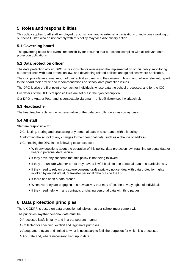## **5. Roles and responsibilities**

This policy applies to **all staff** employed by our school, and to external organisations or individuals working on our behalf. Staff who do not comply with this policy may face disciplinary action.

### **5.1 Governing board**

The governing board has overall responsibility for ensuring that our school complies with all relevant data protection obligations.

### **5.2 Data protection officer**

The data protection officer (DPO) is responsible for overseeing the implementation of this policy, monitoring our compliance with data protection law, and developing related policies and guidelines where applicable.

They will provide an annual report of their activities directly to the governing board and, where relevant, report to the board their advice and recommendations on school data protection issues.

The DPO is also the first point of contact for individuals whose data the school processes, and for the ICO.

Full details of the DPO's responsibilities are set out in their job description.

Our DPO is Agatha Peter and is contactable via email – [office@victory.southwark.sch.uk](mailto:office@victory.southwark.sch.uk) .

#### **5.3 Headteacher**

The headteacher acts as the representative of the data controller on a day-to-day basis.

#### **5.4 All staff**

Staff are responsible for:

- Collecting, storing and processing any personal data in accordance with this policy
- Informing the school of any changes to their personal data, such as a change of address
- Contacting the DPO in the following circumstances:
	- With any questions about the operation of this policy, data protection law, retaining personal data or keeping personal data secure
	- If they have any concerns that this policy is not being followed
	- If they are unsure whether or not they have a lawful basis to use personal data in a particular way
	- If they need to rely on or capture consent, draft a privacy notice, deal with data protection rights invoked by an individual, or transfer personal data outside the UK
	- If there has been a data breach
	- Whenever they are engaging in a new activity that may affect the privacy rights of individuals
	- If they need help with any contracts or sharing personal data with third parties

## <span id="page-3-0"></span>**6. Data protection principles**

The UK GDPR is based on data protection principles that our school must comply with.

The principles say that personal data must be:

- Processed lawfully, fairly and in a transparent manner
- Collected for specified, explicit and legitimate purposes
- Adequate, relevant and limited to what is necessary to fulfil the purposes for which it is processed
- Accurate and, where necessary, kept up to date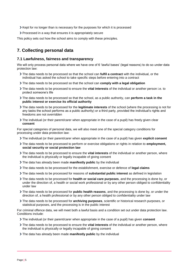- $\triangleright$  Kept for no longer than is necessary for the purposes for which it is processed
- Processed in a way that ensures it is appropriately secure

This policy sets out how the school aims to comply with these principles.

# <span id="page-4-0"></span>**7. Collecting personal data**

#### **7.1 Lawfulness, fairness and transparency**

We will only process personal data where we have one of 6 'lawful bases' (legal reasons) to do so under data protection law:

- The data needs to be processed so that the school can **fulfil a contract** with the individual, or the individual has asked the school to take specific steps before entering into a contract
- The data needs to be processed so that the school can **comply with a legal obligation**
- The data needs to be processed to ensure the **vital interests** of the individual or another person i.e. to protect someone's life
- The data needs to be processed so that the school, as a public authority, can **perform a task in the public interest or exercise its official authority**
- The data needs to be processed for the **legitimate interests** of the school (where the processing is not for any tasks the school performs as a public authority) or a third party, provided the individual's rights and freedoms are not overridden
- The individual (or their parent/carer when appropriate in the case of a pupil) has freely given clear **consent**

For special categories of personal data, we will also meet one of the special category conditions for processing under data protection law:

- The individual (or their parent/carer when appropriate in the case of a pupil) has given **explicit consent**
- The data needs to be processed to perform or exercise obligations or rights in relation to **employment, social security or social protection law**
- The data needs to be processed to ensure the **vital interests** of the individual or another person, where the individual is physically or legally incapable of giving consent
- The data has already been made **manifestly public** by the individual
- The data needs to be processed for the establishment, exercise or defence of **legal claims**
- The data needs to be processed for reasons of **substantial public interest** as defined in legislation
- The data needs to be processed for **health or social care purposes**, and the processing is done by, or under the direction of, a health or social work professional or by any other person obliged to confidentiality under law
- The data needs to be processed for **public health reasons**, and the processing is done by, or under the direction of, a health professional or by any other person obliged to confidentiality under law
- The data needs to be processed for **archiving purposes**, scientific or historical research purposes, or statistical purposes, and the processing is in the public interest

For criminal offence data, we will meet both a lawful basis and a condition set out under data protection law. Conditions include:

- The individual (or their parent/carer when appropriate in the case of a pupil) has given **consent**
- The data needs to be processed to ensure the **vital interests** of the individual or another person, where the individual is physically or legally incapable of giving consent
- The data has already been made **manifestly public** by the individual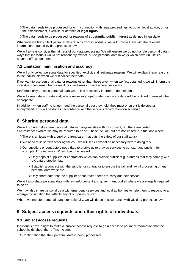- The data needs to be processed for or in connection with legal proceedings, to obtain legal advice, or for the establishment, exercise or defence of **legal rights**
- The data needs to be processed for reasons of **substantial public interest** as defined in legislation

Whenever we first collect personal data directly from individuals, we will provide them with the relevant information required by data protection law.

We will always consider the fairness of our data processing. We will ensure we do not handle personal data in ways that individuals would not reasonably expect, or use personal data in ways which have unjustified adverse effects on them.

#### **7.2 Limitation, minimisation and accuracy**

We will only collect personal data for specified, explicit and legitimate reasons. We will explain these reasons to the individuals when we first collect their data.

If we want to use personal data for reasons other than those given when we first obtained it, we will inform the individuals concerned before we do so, and seek consent where necessary.

Staff must only process personal data where it is necessary in order to do their jobs.

We will keep data accurate and, where necessary, up-to-date. Inaccurate data will be rectified or erased when appropriate.

In addition, when staff no longer need the personal data they hold, they must ensure it is deleted or anonymised. This will be done in accordance with the school's record retention schedule.

## <span id="page-5-0"></span>**8. Sharing personal data**

We will not normally share personal data with anyone else without consent, but there are certain circumstances where we may be required to do so. These include, but are not limited to, situations where:

- There is an issue with a pupil or parent/carer that puts the safety of our staff at risk
- We need to liaise with other agencies we will seek consent as necessary before doing this
- Our suppliers or contractors need data to enable us to provide services to our staff and pupils for example, IT companies. When doing this, we will:
	- Only appoint suppliers or contractors which can provide sufficient guarantees that they comply with UK data protection law
	- Establish a contract with the supplier or contractor to ensure the fair and lawful processing of any personal data we share
	- Only share data that the supplier or contractor needs to carry out their service

We will also share personal data with law enforcement and government bodies where we are legally required to do so.

We may also share personal data with emergency services and local authorities to help them to respond to an emergency situation that affects any of our pupils or staff.

Where we transfer personal data internationally, we will do so in accordance with UK data protection law.

## <span id="page-5-1"></span>**9. Subject access requests and other rights of individuals**

#### **9.1 Subject access requests**

Individuals have a right to make a 'subject access request' to gain access to personal information that the school holds about them. This includes:

Confirmation that their personal data is being processed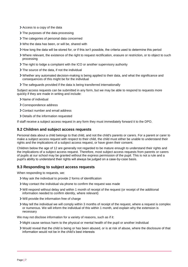- Access to a copy of the data
- > The purposes of the data processing
- > The categories of personal data concerned
- Who the data has been, or will be, shared with
- How long the data will be stored for, or if this isn't possible, the criteria used to determine this period
- Where relevant, the existence of the right to request rectification, erasure or restriction, or to object to such processing
- The right to lodge a complaint with the ICO or another supervisory authority
- > The source of the data, if not the individual
- Whether any automated decision-making is being applied to their data, and what the significance and consequences of this might be for the individual
- The safeguards provided if the data is being transferred internationally

Subject access requests can be submitted in any form, but we may be able to respond to requests more quickly if they are made in writing and include:

- > Name of individual
- > Correspondence address
- Contact number and email address
- Details of the information requested

If staff receive a subject access request in any form they must immediately forward it to the DPO.

#### **9.2 Children and subject access requests**

Personal data about a child belongs to that child, and not the child's parents or carers. For a parent or carer to make a subject access request with respect to their child, the child must either be unable to understand their rights and the implications of a subject access request, or have given their consent.

Children below the age of 12 are generally not regarded to be mature enough to understand their rights and the implications of a subject access request. Therefore, most subject access requests from parents or carers of pupils at our school may be granted without the express permission of the pupil. This is not a rule and a pupil's ability to understand their rights will always be judged on a case-by-case basis.

#### **9.3 Responding to subject access requests**

When responding to requests, we:

- May ask the individual to provide 2 forms of identification
- May contact the individual via phone to confirm the request was made
- Will respond without delay and within 1 month of receipt of the request (or receipt of the additional information needed to confirm identity, where relevant)
- Will provide the information free of charge
- May tell the individual we will comply within 3 months of receipt of the request, where a request is complex or numerous. We will inform the individual of this within 1 month, and explain why the extension is necessary

We may not disclose information for a variety of reasons, such as if it:

- Might cause serious harm to the physical or mental health of the pupil or another individual
- Would reveal that the child is being or has been abused, or is at risk of abuse, where the disclosure of that information would not be in the child's best interests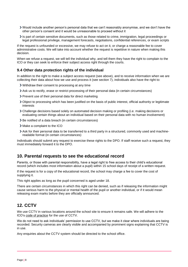- Would include another person's personal data that we can't reasonably anonymise, and we don't have the other person's consent and it would be unreasonable to proceed without it
- Is part of certain sensitive documents, such as those related to crime, immigration, legal proceedings or legal professional privilege, management forecasts, negotiations, confidential references, or exam scripts

If the request is unfounded or excessive, we may refuse to act on it, or charge a reasonable fee to cover administrative costs. We will take into account whether the request is repetitive in nature when making this decision.

When we refuse a request, we will tell the individual why, and tell them they have the right to complain to the ICO or they can seek to enforce their subject access right through the courts.

## **9.4 Other data protection rights of the individual**

In addition to the right to make a subject access request (see above), and to receive information when we are collecting their data about how we use and process it (see section 7), individuals also have the right to:

- Withdraw their consent to processing at any time
- Ask us to rectify, erase or restrict processing of their personal data (in certain circumstances)
- > Prevent use of their personal data for direct marketing
- Object to processing which has been justified on the basis of public interest, official authority or legitimate interests
- Challenge decisions based solely on automated decision making or profiling (i.e. making decisions or evaluating certain things about an individual based on their personal data with no human involvement)
- > Be notified of a data breach (in certain circumstances)
- Make a complaint to the ICO
- Ask for their personal data to be transferred to a third party in a structured, commonly used and machinereadable format (in certain circumstances)

Individuals should submit any request to exercise these rights to the DPO. If staff receive such a request, they must immediately forward it to the DPO.

## <span id="page-7-0"></span>**10. Parental requests to see the educational record**

Parents, or those with parental responsibility, have a legal right to free access to their child's educational record (which includes most information about a pupil) within 15 school days of receipt of a written request.

If the request is for a copy of the educational record, the school may charge a fee to cover the cost of supplying it.

This right applies as long as the pupil concerned is aged under 18.

There are certain circumstances in which this right can be denied, such as if releasing the information might cause serious harm to the physical or mental health of the pupil or another individual, or if it would mean releasing exam marks before they are officially announced.

## <span id="page-7-1"></span>**12. CCTV**

We use CCTV in various locations around the school site to ensure it remains safe. We will adhere to the ICO's [code of practice](https://ico.org.uk/media/for-organisations/documents/1542/cctv-code-of-practice.pdf) for the use of CCTV.

We do not need to ask individuals' permission to use CCTV, but we make it clear where individuals are being recorded. Security cameras are clearly visible and accompanied by prominent signs explaining that CCTV is in use.

Any enquiries about the CCTV system should be directed to the school office.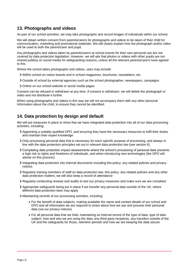## <span id="page-8-0"></span>**13. Photographs and videos**

As part of our school activities, we may take photographs and record images of individuals within our school.

We will obtain written consent from parents/carers for photographs and videos to be taken of their child for communication, marketing and promotional materials. We will clearly explain how the photograph and/or video will be used to both the parent/carer and pupil.

Any photographs and videos taken by parents/carers at school events for their own personal use are not covered by data protection legislation. However, we will ask that photos or videos with other pupils are not shared publicly on social media for safeguarding reasons, unless all the relevant parents/carers have agreed to this.

Where the school takes photographs and videos, uses may include:

- Within school on notice boards and in school magazines, brochures, newsletters, etc.
- Outside of school by external agencies such as the school photographer, newspapers, campaigns
- > Online on our school website or social media pages

Consent can be refused or withdrawn at any time. If consent is withdrawn, we will delete the photograph or video and not distribute it further.

When using photographs and videos in this way we will not accompany them with any other personal information about the child, to ensure they cannot be identified.

## <span id="page-8-1"></span>**14. Data protection by design and default**

We will put measures in place to show that we have integrated data protection into all of our data processing activities, including:

- Appointing a suitably qualified DPO, and ensuring they have the necessary resources to fulfil their duties and maintain their expert knowledge
- Only processing personal data that is necessary for each specific purpose of processing, and always in line with the data protection principles set out in relevant data protection law (see section 6)
- Completing data protection impact assessments where the school's processing of personal data presents a high risk to rights and freedoms of individuals, and when introducing new technologies (the DPO will advise on this process)
- Integrating data protection into internal documents including this policy, any related policies and privacy notices
- Regularly training members of staff on data protection law, this policy, any related policies and any other data protection matters; we will also keep a record of attendance
- Regularly conducting reviews and audits to test our privacy measures and make sure we are compliant
- Appropriate safeguards being put in place if we transfer any personal data outside of the UK, where different data protection laws may apply
- <span id="page-8-2"></span>Maintaining records of our processing activities, including:
	- For the benefit of data subjects, making available the name and contact details of our school and DPO and all information we are required to share about how we use and process their personal data (via our privacy notices)
	- For all personal data that we hold, maintaining an internal record of the type of data, type of data subject, how and why we are using the data, any third-party recipients, any transfers outside of the UK and the safeguards for those, retention periods and how we are keeping the data secure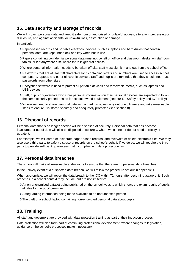## **15. Data security and storage of records**

We will protect personal data and keep it safe from unauthorised or unlawful access, alteration, processing or disclosure, and against accidental or unlawful loss, destruction or damage.

In particular:

- Paper-based records and portable electronic devices, such as laptops and hard drives that contain personal data, are kept under lock and key when not in use
- Papers containing confidential personal data must not be left on office and classroom desks, on staffroom tables, or left anywhere else where there is general access
- Where personal information needs to be taken off site, staff must sign it in and out from the school office
- Passwords that are at least 10 characters long containing letters and numbers are used to access school computers, laptops and other electronic devices. Staff and pupils are reminded that they should not reuse passwords from other sites
- Encryption software is used to protect all portable devices and removable media, such as laptops and USB devices
- Staff, pupils or governors who store personal information on their personal devices are expected to follow the same security procedures as for school-owned equipment (see our E - Safety policy and ICT policy)
- Where we need to share personal data with a third party, we carry out due diligence and take reasonable steps to ensure it is stored securely and adequately protected (see section 8)

## <span id="page-9-0"></span>**16. Disposal of records**

Personal data that is no longer needed will be disposed of securely. Personal data that has become inaccurate or out of date will also be disposed of securely, where we cannot or do not need to rectify or update it.

For example, we will shred or incinerate paper-based records, and overwrite or delete electronic files. We may also use a third party to safely dispose of records on the school's behalf. If we do so, we will require the third party to provide sufficient guarantees that it complies with data protection law.

## <span id="page-9-1"></span>**17. Personal data breaches**

The school will make all reasonable endeavours to ensure that there are no personal data breaches.

In the unlikely event of a suspected data breach, we will follow the procedure set out in appendix 1.

When appropriate, we will report the data breach to the ICO within 72 hours after becoming aware of it. Such breaches in a school context may include, but are not limited to:

- A non-anonymised dataset being published on the school website which shows the exam results of pupils eligible for the pupil premium
- Safeguarding information being made available to an unauthorised person
- The theft of a school laptop containing non-encrypted personal data about pupils

# <span id="page-9-2"></span>**18. Training**

All staff and governors are provided with data protection training as part of their induction process.

Data protection will also form part of continuing professional development, where changes to legislation, guidance or the school's processes make it necessary.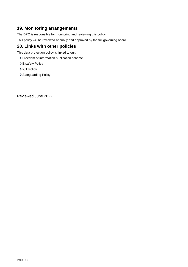# <span id="page-10-0"></span>**19. Monitoring arrangements**

The DPO is responsible for monitoring and reviewing this policy.

This policy will be reviewed annually and approved by the full governing board.

# <span id="page-10-1"></span>**20. Links with other policies**

This data protection policy is linked to our:

- > Freedom of information publication scheme
- > E safety Policy
- > ICT Policy
- > Safeguarding Policy

Reviewed June 2022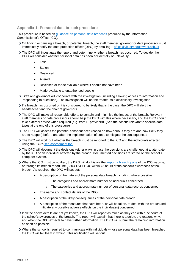#### <span id="page-11-0"></span>**Appendix 1: Personal data breach procedure**

This procedure is based on [guidance on personal data breaches](https://ico.org.uk/for-organisations/guide-to-the-general-data-protection-regulation-gdpr/personal-data-breaches/) produced by the Information Commissioner's Office (ICO).

- On finding or causing a breach, or potential breach, the staff member, governor or data processor must immediately notify the data protection officer (DPO) by emailing – [office@victory.southwark.sch.uk](mailto:office@victory.southwark.sch.uk)
- The DPO will investigate the report, and determine whether a breach has occurred. To decide, the DPO will consider whether personal data has been accidentally or unlawfully:
	- Lost
	- Stolen
	- Destroyed
	- Altered
	- Disclosed or made available where it should not have been
	- Made available to unauthorised people
- $\geq$  Staff and governors will cooperate with the investigation (including allowing access to information and responding to questions). The investigation will not be treated as a disciplinary investigation
- If a breach has occurred or it is considered to be likely that is the case, the DPO will alert the headteacher and the chair of governors
- The DPO will make all reasonable efforts to contain and minimise the impact of the breach. Relevant staff members or data processors should help the DPO with this where necessary, and the DPO should take external advice when required (e.g. from IT providers). (See the actions relevant to specific data types at the end of this procedure)
- The DPO will assess the potential consequences (based on how serious they are and how likely they are to happen) before and after the implementation of steps to mitigate the consequences
- The DPO will work out whether the breach must be reported to the ICO and the individuals affected using the ICO's [self-assessment tool](https://ico.org.uk/for-organisations/report-a-breach/personal-data-breach-assessment/)
- The DPO will document the decisions (either way), in case the decisions are challenged at a later date by the ICO or an individual affected by the breach. Documented decisions are stored on the school's computer system.
- > Where the ICO must be notified, the DPO will do this via the ['report a breach' page](https://ico.org.uk/for-organisations/report-a-breach/) of the ICO website, or through its breach report line (0303 123 1113), within 72 hours of the school's awareness of the breach. As required, the DPO will set out:
	- A description of the nature of the personal data breach including, where possible:
		- o The categories and approximate number of individuals concerned
		- $\circ$  The categories and approximate number of personal data records concerned
	- The name and contact details of the DPO
	- A description of the likely consequences of the personal data breach
	- A description of the measures that have been, or will be taken, to deal with the breach and mitigate any possible adverse effects on the individual(s) concerned
- If all the above details are not yet known, the DPO will report as much as they can within 72 hours of the school's awareness of the breach. The report will explain that there is a delay, the reasons why, and when the DPO expects to have further information. The DPO will submit the remaining information as soon as possible
- Where the school is required to communicate with individuals whose personal data has been breached, the DPO will tell them in writing. This notification will set out: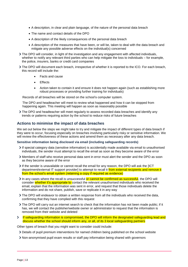- A description, in clear and plain language, of the nature of the personal data breach
- The name and contact details of the DPO
- A description of the likely consequences of the personal data breach
- A description of the measures that have been, or will be, taken to deal with the data breach and mitigate any possible adverse effects on the individual(s) concerned
- The DPO will consider, in light of the investigation and any engagement with affected individuals, whether to notify any relevant third parties who can help mitigate the loss to individuals – for example, the police, insurers, banks or credit card companies
- The DPO will document each breach, irrespective of whether it is reported to the ICO. For each breach, this record will include the:
	- Facts and cause
	- Effects
	- Action taken to contain it and ensure it does not happen again (such as establishing more robust processes or providing further training for individuals)

Records of all breaches will be stored on the school's computer system.

The DPO and headteacher will meet to review what happened and how it can be stopped from happening again. This meeting will happen as soon as reasonably possible

The DPO and headteacher will meet regularly to assess recorded data breaches and identify any trends or patterns requiring action by the school to reduce risks of future breaches

#### **Actions to minimise the impact of data breaches**

We set out below the steps we might take to try and mitigate the impact of different types of data breach if they were to occur, focusing especially on breaches involving particularly risky or sensitive information. We will review the effectiveness of these actions and amend them as necessary after any data breach.

#### **Sensitive information being disclosed via email (including safeguarding records)**

- If special category data (sensitive information) is accidentally made available via email to unauthorised individuals, the sender must attempt to recall the email as soon as they become aware of the error
- Members of staff who receive personal data sent in error must alert the sender and the DPO as soon as they become aware of the error
- If the sender is unavailable or cannot recall the email for any reason, the DPO will ask the [ICT] department/external IT support provider] to attempt to recall it from external recipients and remove it from the school's email system (retaining a copy if required as evidence)
- In any cases where the recall is unsuccessful or cannot be confirmed as successful, the DPO will consider whether it's appropriate to contact the relevant unauthorised individuals who received the email, explain that the information was sent in error, and request that those individuals delete the information and do not share, publish, save or replicate it in any way
- The DPO will endeavor to obtain a written response from all the individuals who received the data, confirming that they have complied with this request
- The DPO will carry out an internet search to check that the information has not been made public; if it has, we will contact the publisher/website owner or administrator to request that the information is removed from their website and deleted
- If safeguarding information is compromised, the DPO will inform the designated safeguarding lead and  $\blacktriangleright$ discuss whether the school should inform any, or all, of its 3 local safeguarding partners

Other types of breach that you might want to consider could include:

- Details of pupil premium interventions for named children being published on the school website
- Non-anonymised pupil exam results or staff pay information being shared with governors